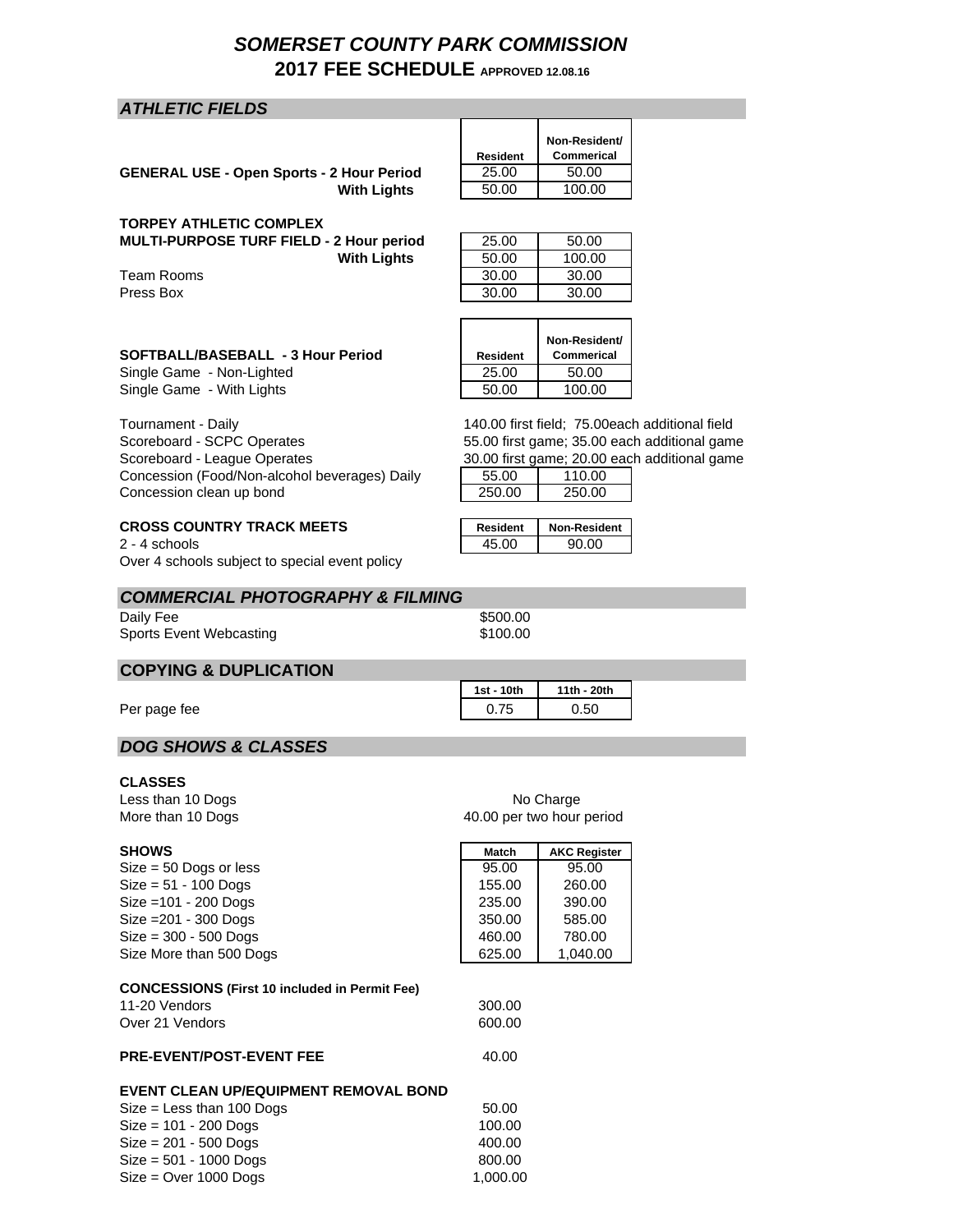# *SOMERSET COUNTY PARK COMMISSION* **2017 FEE SCHEDULE APPROVED 12.08.16**

## *ATHLETIC FIELDS*

GENERAL USE - Open Sports - 2 Hour Period 25.00 50.00 **With Lights** 50.00 100.00

#### **TORPEY ATHLETIC COMPLEX**

**MULTI-PURPOSE TURF FIELD - 2 Hour period With Lights** 

Team Rooms Press Box 30.00 30.00

| 25.00 | 50.00  |
|-------|--------|
| 50.00 | 100.00 |
| 30.00 | 30.00  |
|       |        |

**Non-Resident/ Commerical**

**Non-Resident/ Commerical**

**Resident**

## **SOFTBALL/BASEBALL - 3 Hour Period Resident**

Single Game - Non-Lighted 25.00 50.00 Single Game - With Lights 60.00 100.00

Tournament - Daily Scoreboard - SCPC Operates Scoreboard - League Operates Concession (Food/Non-alcohol beverages) Daily | 55.00 | 110.00 Concession clean up bond 250.00 250.00 250.00

# **CROSS COUNTRY TRACK MEETS** Resident Non-Resident

2 - 4 schools 45.00 90.00 Over 4 schools subject to special event policy

#### *COMMERCIAL PHOTOGRAPHY & FILMING*

Daily Fee \$500.00 Sports Event Webcasting \$100.00

## **COPYING & DUPLICATION**

Per page fee 0.50

## *DOG SHOWS & CLASSES*

**CLASSES**

Less than 10 Dogs More than 10 Dogs

| More than 10 Dogs                                    |        | 40.00 per two hour period |
|------------------------------------------------------|--------|---------------------------|
| <b>SHOWS</b>                                         | Match  | <b>AKC Register</b>       |
| $Size = 50$ Dogs or less                             | 95.00  | 95.00                     |
| $Size = 51 - 100$ Dogs                               | 155.00 | 260.00                    |
| $Size = 101 - 200$ Dogs                              | 235.00 | 390.00                    |
| Size = 201 - 300 Dogs                                | 350.00 | 585.00                    |
| $Size = 300 - 500$ Dogs                              | 460.00 | 780.00                    |
| Size More than 500 Dogs                              | 625.00 | 1,040.00                  |
| <b>CONCESSIONS (First 10 included in Permit Fee)</b> |        |                           |
| 11-20 Vendors                                        | 300.00 |                           |
| Over 21 Vendors                                      | 600.00 |                           |
| <b>PRE-EVENT/POST-EVENT FEE</b>                      | 40.00  |                           |
| EVENT CLEAN UP/EQUIPMENT REMOVAL BOND                |        |                           |

| $Size = Less than 100$ Dogs | 50.00    |
|-----------------------------|----------|
| $Size = 101 - 200$ Dogs     | 100.00   |
| $Size = 201 - 500$ Dogs     | 400.00   |
| $Size = 501 - 1000$ Dogs    | 800.00   |
| $Size = Over 1000$ Dogs     | 1,000.00 |
|                             |          |

140.00 first field; 75.00each additional field 55.00 first game; 35.00 each additional game 30.00 first game; 20.00 each additional game

**1st - 10th 11th - 20th**

| No Charge                 |
|---------------------------|
| 40.00 per two hour period |

| <b>Match</b> | <b>AKC Register</b> |  |
|--------------|---------------------|--|
| 95.00        | 95.00               |  |
| 155.00       | 260.00              |  |
| 235.00       | 390.00              |  |
| 350.00       | 585.00              |  |
| 460.00       | 780.00              |  |
| 625.00       | 1.040.00            |  |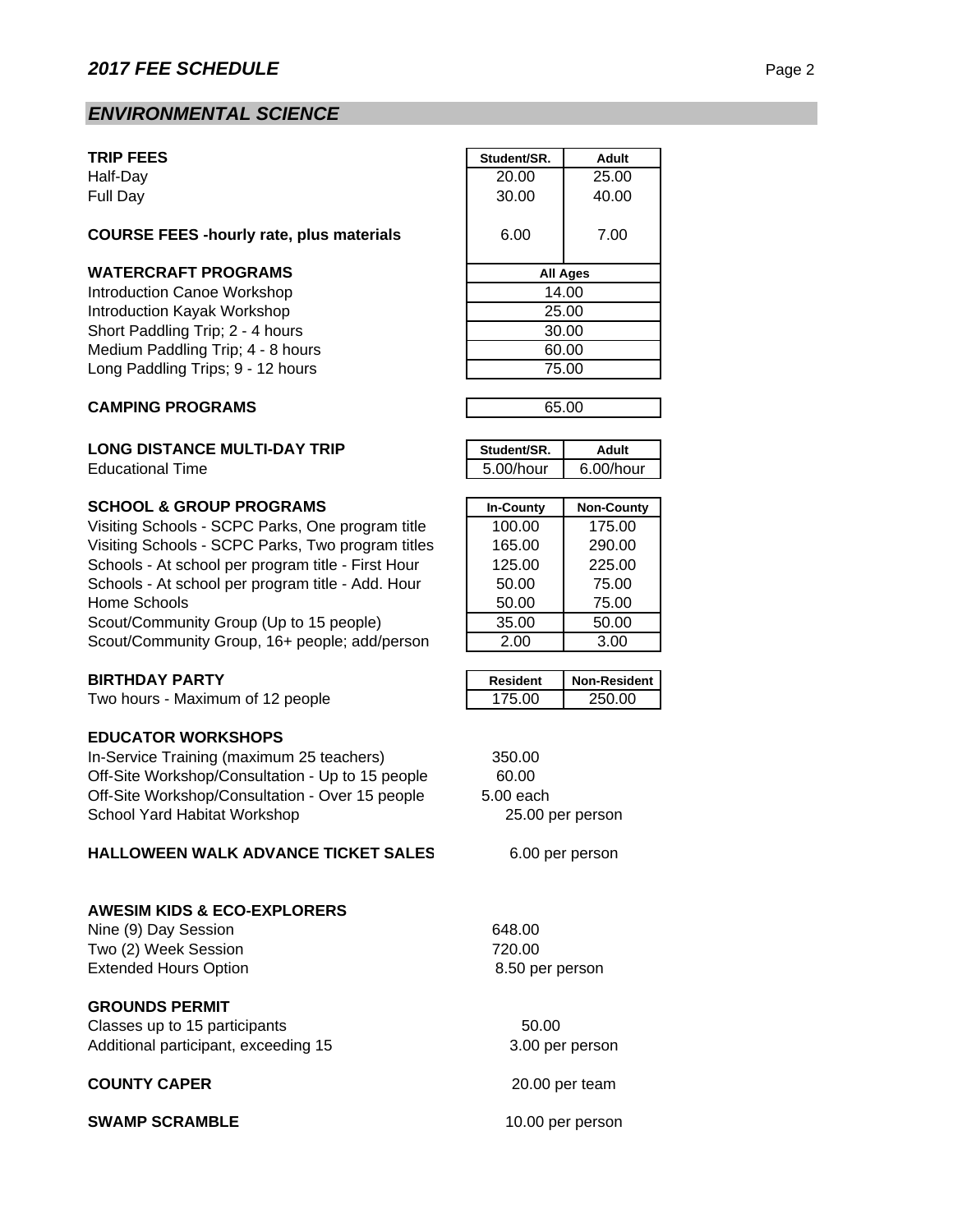# *ENVIRONMENTAL SCIENCE*

## **TRIP FEES**

## **COURSE FEES -hourly rate, plus materials** 6.00 7.00

## **WATERCRAFT PROGRAMS**

## **CAMPING PROGRAMS**

#### **LONG DISTANCE MULTI-DAY TRIP Educational Time**

#### **SCHOOL & GROUP PROGRAMS**

Visiting Schools - SCPC Parks, One program title Visiting Schools - SCPC Parks, Two program titles Schools - At school per program title - First Hour Schools - At school per program title - Add. Hour Home Schools Scout/Community Group (Up to 15 people) Scout/Community Group, 16+ people; add/person

## **BIRTHDAY PARTY**

Two hours - Maximum of 12 people

## **EDUCATOR WORKSHOPS**

In-Service Training (maximum 25 teachers) 350.00 Off-Site Workshop/Consultation - Up to 15 people 60.00 Off-Site Workshop/Consultation - Over 15 people 5.00 each School Yard Habitat Workshop

## **HALLOWEEN WALK ADVANCE TICKET SALES**

#### **AWESIM KIDS & ECO-EXPLORERS**

Nine (9) Day Session 648.00 Two (2) Week Session 720.00 Extended Hours Option

#### **GROUNDS PERMIT**

Classes up to 15 participants 60.00 Additional participant, exceeding 15

## **COUNTY CAPER**

**SWAMP SCRAMBLE** 10.00 per person

| <b>TRIP FEES</b>                                | Student/SR.     | Adult |  |
|-------------------------------------------------|-----------------|-------|--|
| Half-Day                                        | 20.00           | 25.00 |  |
| Full Day                                        | 30.00           | 40.00 |  |
| <b>COURSE FEES -hourly rate, plus materials</b> | 6.00            | 7.00  |  |
| <b>WATERCRAFT PROGRAMS</b>                      | <b>All Ages</b> |       |  |
| <b>Introduction Canoe Workshop</b>              |                 | 14.00 |  |
| Introduction Kayak Workshop<br>25.00            |                 |       |  |
| Short Paddling Trip; 2 - 4 hours                | 30.00           |       |  |
| Medium Paddling Trip; 4 - 8 hours               | 60.00           |       |  |
| Long Paddling Trips; 9 - 12 hours               |                 | 75.00 |  |
|                                                 |                 |       |  |

| 65.00 |  |
|-------|--|
|       |  |

| Student/SR. | Adult        |
|-------------|--------------|
| 5.00/hour   | $6.00/h$ our |

| In-County | <b>Non-County</b> |  |
|-----------|-------------------|--|
| 100.00    | 175.00            |  |
| 165.00    | 290.00            |  |
| 125.00    | 225.00            |  |
| 50.00     | 75.00             |  |
| 50.00     | 75.00             |  |
| 35.00     | 50.00             |  |
| 2.00      | 3.00              |  |

| Resident | <b>Non-Resident</b> |
|----------|---------------------|
| 175.00   | 250.00              |

25.00 per person

6.00 per person

8.50 per person

3.00 per person

20.00 per team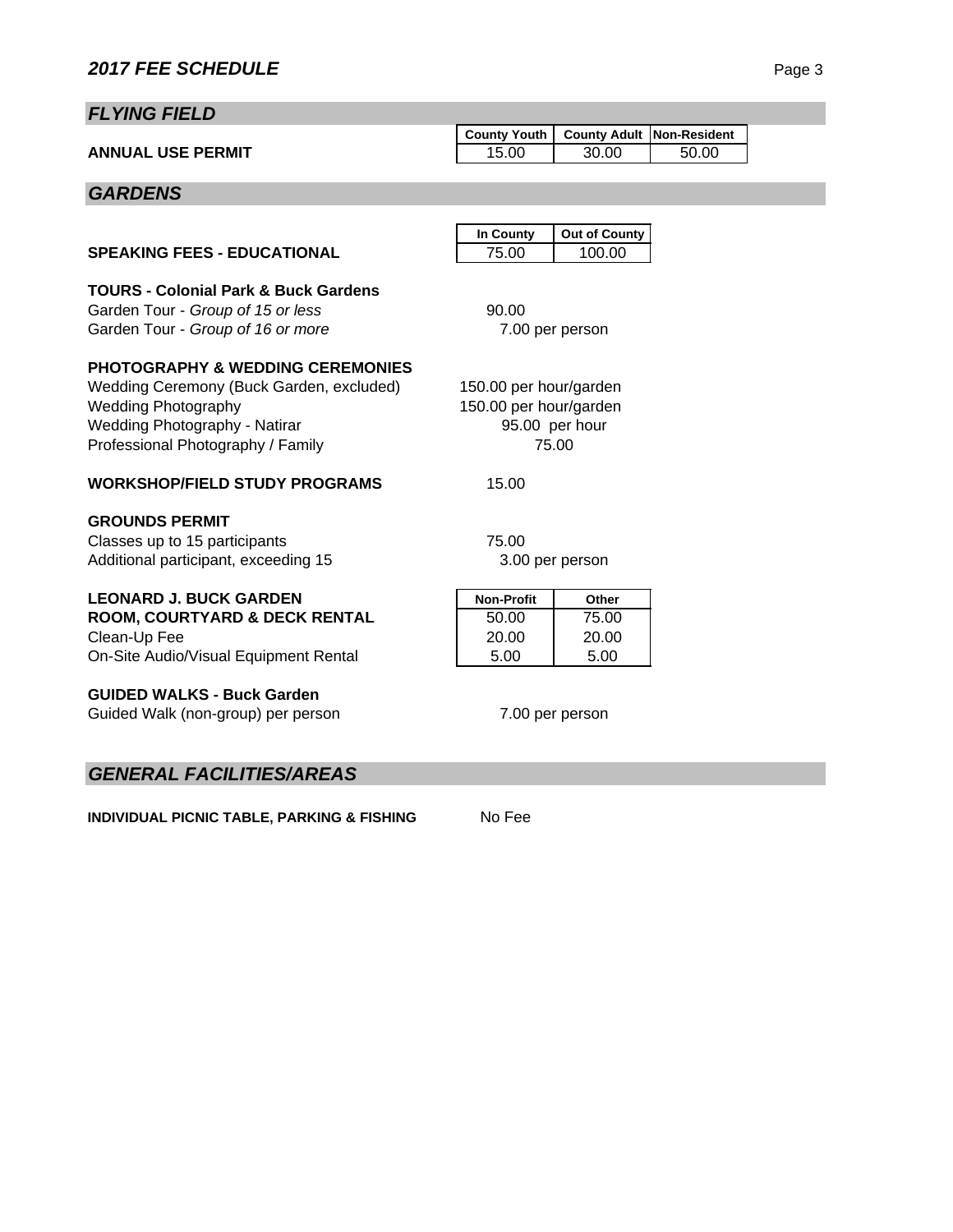# *FLYING FIELD*

|                          | County Youth   County Adult   Non-Resident |       |       |  |
|--------------------------|--------------------------------------------|-------|-------|--|
| <b>ANNUAL USE PERMIT</b> | 15.00                                      | 30.00 | 50.00 |  |
|                          |                                            |       |       |  |

# *GARDENS*

|                                                 | In County               | <b>Out of County</b> |  |
|-------------------------------------------------|-------------------------|----------------------|--|
| <b>SPEAKING FEES - EDUCATIONAL</b>              | 75.00                   | 100.00               |  |
| <b>TOURS - Colonial Park &amp; Buck Gardens</b> |                         |                      |  |
| Garden Tour - Group of 15 or less               | 90.00                   |                      |  |
| Garden Tour - Group of 16 or more               |                         | 7.00 per person      |  |
| <b>PHOTOGRAPHY &amp; WEDDING CEREMONIES</b>     |                         |                      |  |
| Wedding Ceremony (Buck Garden, excluded)        | 150.00 per hour/garden  |                      |  |
| <b>Wedding Photography</b>                      | 150.00 per hour/garden  |                      |  |
| <b>Wedding Photography - Natirar</b>            |                         |                      |  |
| Professional Photography / Family               | 95.00 per hour<br>75.00 |                      |  |
|                                                 |                         |                      |  |
| <b>WORKSHOP/FIELD STUDY PROGRAMS</b>            | 15.00                   |                      |  |
| <b>GROUNDS PERMIT</b>                           |                         |                      |  |
| Classes up to 15 participants                   | 75.00                   |                      |  |
| Additional participant, exceeding 15            | 3.00 per person         |                      |  |
| <b>LEONARD J. BUCK GARDEN</b>                   | <b>Non-Profit</b>       | Other                |  |
| ROOM, COURTYARD & DECK RENTAL                   | 50.00                   | 75.00                |  |
| Clean-Up Fee                                    | 20.00                   | 20.00                |  |
| On-Site Audio/Visual Equipment Rental           | 5.00                    | 5.00                 |  |
| <b>GUIDED WALKS - Buck Garden</b>               |                         |                      |  |
| Guided Walk (non-group) per person              | 7.00 per person         |                      |  |
|                                                 |                         |                      |  |
|                                                 |                         |                      |  |

# *GENERAL FACILITIES/AREAS*

**INDIVIDUAL PICNIC TABLE, PARKING & FISHING** No Fee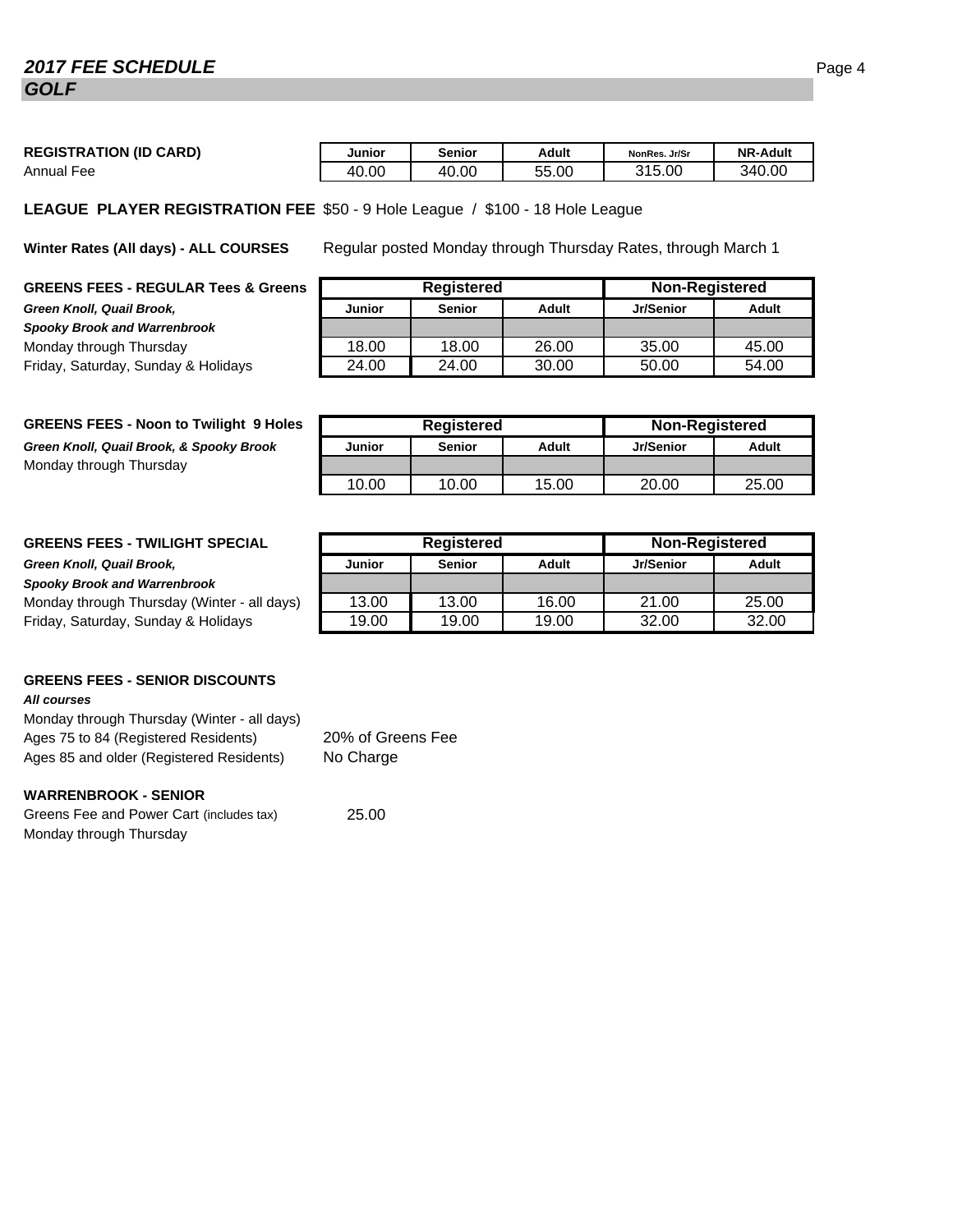# **2017 FEE SCHEDULE** Page 4 *GOLF*

| <b>REGISTRATION (ID CARD)</b> | Junior | <b>Senior</b> | Adult | NonRes. Jr/Sr | <b>NR-Adult</b> |
|-------------------------------|--------|---------------|-------|---------------|-----------------|
| Annual<br>Fee                 | 40.00  | 40.00         | 55.00 | 315.00        | 340.00          |

**LEAGUE PLAYER REGISTRATION FEE** \$50 - 9 Hole League / \$100 - 18 Hole League

**Winter Rates (All days) - ALL COURSES**

**GREENS FEES - REGULAR Tees & Greens Green Knoll, Quail Brook,** *Spooky Brook and Warrenbrook* Monday through Thursday Friday, Saturday, Sunday & Holidays

#### **GREENS FEES - Noon to Twilight 9 Holes**

**Green Knoll, Quail Brook, & Spooky Brook** Monday through Thursday

|  | <b>GREENS FEES - TWILIGHT SPECIAL</b> |  |
|--|---------------------------------------|--|
|  |                                       |  |

#### **Green Knoll, Quail Brook,**

#### *Spooky Brook and Warrenbrook*

Monday through Thursday (Winter - all days) Friday, Saturday, Sunday & Holidays.

#### **GREENS FEES - SENIOR DISCOUNTS**

#### *All courses*

Monday through Thursday (Winter - all days) Ages 75 to 84 (Registered Residents) Ages 85 and older (Registered Residents)

#### **WARRENBROOK - SENIOR**

Greens Fee and Power Cart (includes tax) 25.00 Monday through Thursday

Regular posted Monday through Thursday Rates, through March 1

| <b>Registered</b> |               |       | <b>Non-Registered</b> |       |  |
|-------------------|---------------|-------|-----------------------|-------|--|
| <b>Junior</b>     | <b>Senior</b> | Adult | Jr/Senior             | Adult |  |
|                   |               |       |                       |       |  |
| 18.00             | 18.00         | 26.00 | 35.00                 | 45.00 |  |
| 24.00             | 24.00         | 30.00 | 50.00                 | 54.00 |  |

| <b>Registered</b> |               | <b>Non-Registered</b> |           |       |
|-------------------|---------------|-----------------------|-----------|-------|
| Junior            | <b>Senior</b> | Adult                 | Jr/Senior | Adult |
|                   |               |                       |           |       |
| 10.00             | 10.00         | 15.00                 | 20.00     | 25.00 |

| <b>Registered</b> |               | <b>Non-Registered</b> |           |       |
|-------------------|---------------|-----------------------|-----------|-------|
| <b>Junior</b>     | <b>Senior</b> | Adult                 | Jr/Senior | Adult |
|                   |               |                       |           |       |
| 13.00             | 13.00         | 16.00                 | 21.00     | 25.00 |
| 19.00             | 19.00         | 19.00                 | 32.OC     | 32.00 |

20% of Greens Fee No Charge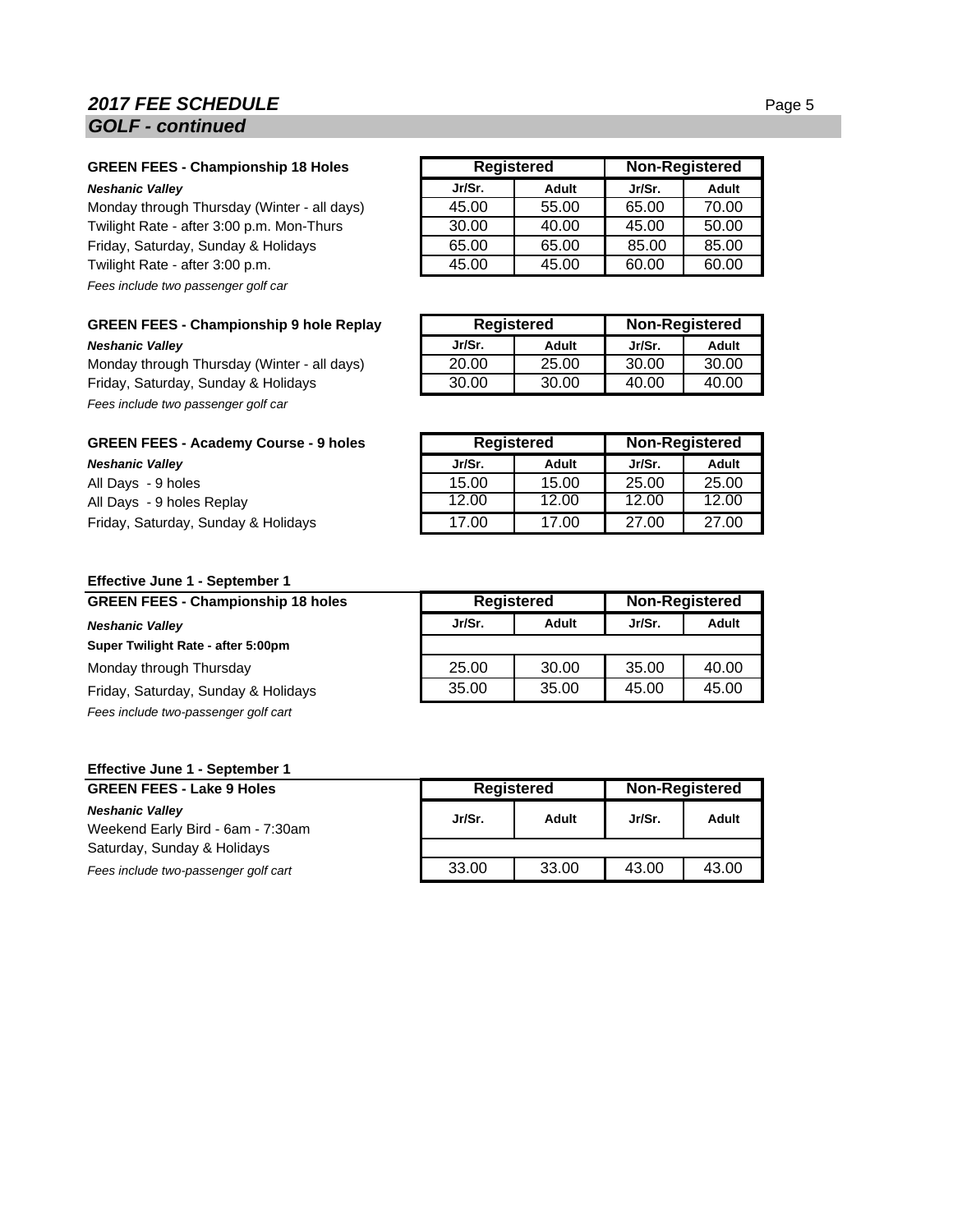## **2017 FEE SCHEDULE** Page 5 *GOLF - continued*

## **GREEN FEES - Championship 18 Holes Neshanic Valley**

Monday through Thursday (Winter - all days) Twilight Rate - after 3:00 p.m. Mon-Thurs Friday, Saturday, Sunday & Holidays Twilight Rate - after 3:00 p.m. *Fees include two passenger golf car*

#### **GREEN FEES - Championship 9 hole Replay**

**Neshanic Valley** 

Monday through Thursday (Winter - all days) Friday, Saturday, Sunday & Holidays *Fees include two passenger golf car*

| All Days - 9 holes                 |
|------------------------------------|
| All Days - 9 holes Replay          |
| Friday, Saturday, Sunday & Holiday |

| <b>Registered</b> |       | Non-Registered |       |  |
|-------------------|-------|----------------|-------|--|
| Jr/Sr.            | Adult | Jr/Sr.         | Adult |  |
| 45.00             | 55.00 | 65.00          | 70.00 |  |
| 30.00             | 40.00 | 45.00          | 50.00 |  |
| 65.00             | 65.00 | 85.00          | 85.00 |  |
| 45.00             | 45.00 | 60.00          | 60.00 |  |

| <b>Registered</b> |       |        | <b>Non-Registered</b> |
|-------------------|-------|--------|-----------------------|
| Jr/Sr.            | Adult | Jr/Sr. | Adult                 |
| 20.00             | 25.00 | 30.00  | 30.00                 |
| 30.00             | 30.00 | 40.00  | 4በ በበ                 |

| <b>GREEN FEES - Academy Course - 9 holes</b> |        | Registered |        | <b>Non-Registered</b> |  |
|----------------------------------------------|--------|------------|--------|-----------------------|--|
| Neshanic Valley                              | Jr/Sr. | Adult      | Jr/Sr. | Adult                 |  |
| All Days - 9 holes                           | 15.00  | 15.00      | 25.00  | 25.00                 |  |
| All Days - 9 holes Replay                    | 12.00  | 12.00      | 12.00  | 12.00                 |  |
| Friday, Saturday, Sunday & Holidays          | 17.00  | 17.00      | 27.00  | 27.00                 |  |

#### **Effective June 1 - September 1**

| <b>GREEN FEES - Championship 18 holes</b> | <b>Registered</b> |       | <b>Non-Registered</b> |       |
|-------------------------------------------|-------------------|-------|-----------------------|-------|
| <b>Neshanic Valley</b>                    | Jr/Sr.            | Adult | Jr/Sr.                | Adult |
| Super Twilight Rate - after 5:00pm        |                   |       |                       |       |
| Monday through Thursday                   | 25.00             | 30.00 | 35.00                 | 40.00 |
| Friday, Saturday, Sunday & Holidays       | 35.00             | 35.00 | 45.00                 | 45.00 |
| Fees include two-passenger golf cart      |                   |       |                       |       |

#### **Effective June 1 - September 1**

| <b>GREEN FEES - Lake 9 Holes</b>     | <b>Registered</b> |       | <b>Non-Registered</b> |       |
|--------------------------------------|-------------------|-------|-----------------------|-------|
| <b>Neshanic Valley</b>               | Jr/Sr.            | Adult | Jr/Sr.                | Adult |
| Weekend Early Bird - 6am - 7:30am    |                   |       |                       |       |
| Saturday, Sunday & Holidays          |                   |       |                       |       |
| Fees include two-passenger golf cart | 33.00             | 33.00 | 43.00                 | 43.00 |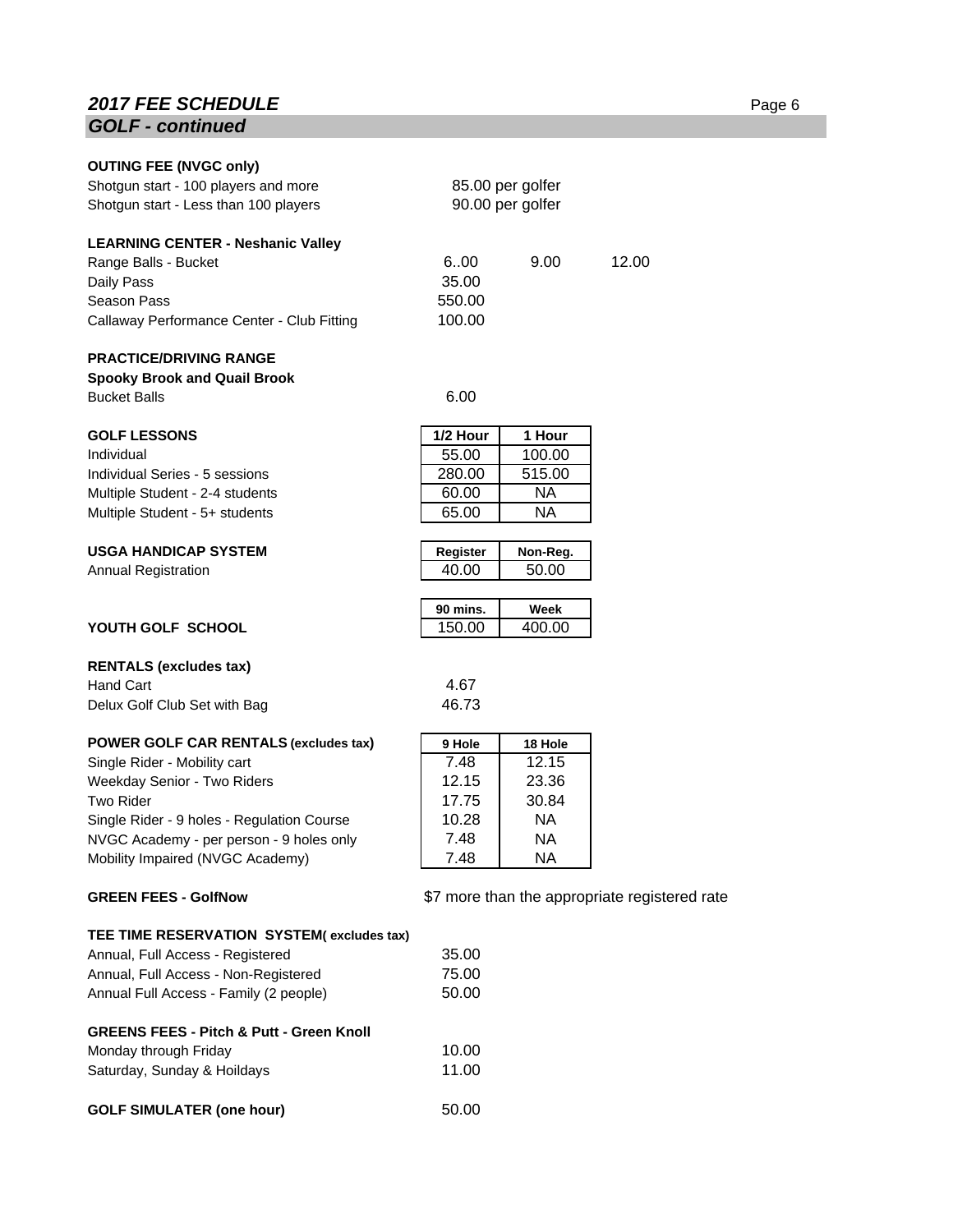# *GOLF - continued*

| <b>OUTING FEE (NVGC only)</b><br>Shotgun start - 100 players and more<br>Shotgun start - Less than 100 players                              |                                   | 85.00 per golfer<br>90.00 per golfer |                                               |
|---------------------------------------------------------------------------------------------------------------------------------------------|-----------------------------------|--------------------------------------|-----------------------------------------------|
| <b>LEARNING CENTER - Neshanic Valley</b><br>Range Balls - Bucket<br>Daily Pass<br>Season Pass<br>Callaway Performance Center - Club Fitting | 6.00<br>35.00<br>550.00<br>100.00 | 9.00                                 | 12.00                                         |
| <b>PRACTICE/DRIVING RANGE</b><br><b>Spooky Brook and Quail Brook</b><br><b>Bucket Balls</b>                                                 | 6.00                              |                                      |                                               |
| <b>GOLF LESSONS</b>                                                                                                                         | 1/2 Hour                          | 1 Hour                               |                                               |
| Individual                                                                                                                                  | 55.00                             | 100.00                               |                                               |
| Individual Series - 5 sessions                                                                                                              | 280.00                            | 515.00                               |                                               |
| Multiple Student - 2-4 students                                                                                                             | 60.00                             | NA.                                  |                                               |
| Multiple Student - 5+ students                                                                                                              | 65.00                             | <b>NA</b>                            |                                               |
|                                                                                                                                             |                                   |                                      |                                               |
| <b>USGA HANDICAP SYSTEM</b>                                                                                                                 | Register                          | Non-Reg.                             |                                               |
| <b>Annual Registration</b>                                                                                                                  | 40.00                             | 50.00                                |                                               |
|                                                                                                                                             |                                   |                                      |                                               |
|                                                                                                                                             | 90 mins.                          | Week                                 |                                               |
| YOUTH GOLF SCHOOL                                                                                                                           | 150.00                            | 400.00                               |                                               |
|                                                                                                                                             |                                   |                                      |                                               |
| <b>RENTALS (excludes tax)</b><br><b>Hand Cart</b>                                                                                           | 4.67                              |                                      |                                               |
| Delux Golf Club Set with Bag                                                                                                                | 46.73                             |                                      |                                               |
|                                                                                                                                             |                                   |                                      |                                               |
| POWER GOLF CAR RENTALS (excludes tax)                                                                                                       | 9 Hole                            | 18 Hole                              |                                               |
| Single Rider - Mobility cart                                                                                                                | 7.48                              | 12.15                                |                                               |
| Weekday Senior - Two Riders                                                                                                                 | 12.15                             | 23.36                                |                                               |
| <b>Two Rider</b>                                                                                                                            | 17.75                             | 30.84                                |                                               |
| Single Rider - 9 holes - Regulation Course                                                                                                  | 10.28                             | NA                                   |                                               |
| NVGC Academy - per person - 9 holes only                                                                                                    | 7.48                              | ΝA                                   |                                               |
| Mobility Impaired (NVGC Academy)                                                                                                            | 7.48                              | NA                                   |                                               |
| <b>GREEN FEES - GolfNow</b>                                                                                                                 |                                   |                                      | \$7 more than the appropriate registered rate |
| TEE TIME RESERVATION SYSTEM(excludes tax)                                                                                                   |                                   |                                      |                                               |
| Annual, Full Access - Registered                                                                                                            | 35.00                             |                                      |                                               |
| Annual, Full Access - Non-Registered<br>Annual Full Access - Family (2 people)                                                              | 75.00<br>50.00                    |                                      |                                               |
|                                                                                                                                             |                                   |                                      |                                               |

# **GREENS FEES - Pitch & Putt - Green Knoll**

|                             | ------------ |
|-----------------------------|--------------|
| Monday through Friday       | 10.00        |
| Saturday, Sunday & Hoildays | 11.00        |
|                             |              |

| <b>GOLF SIMULATER (one hour)</b> | 50.00 |
|----------------------------------|-------|
|----------------------------------|-------|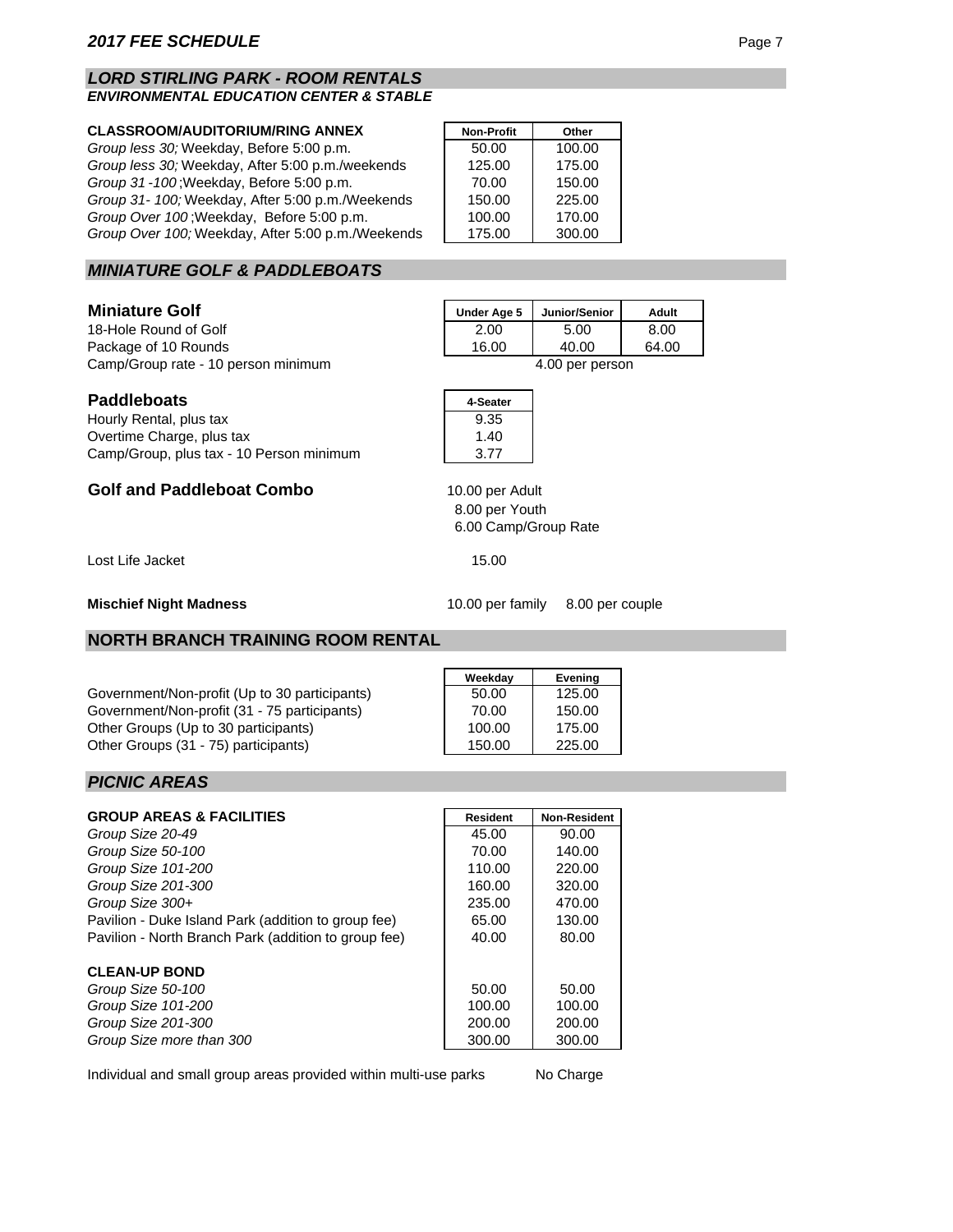#### *LORD STIRLING PARK - ROOM RENTALS ENVIRONMENTAL EDUCATION CENTER & STABLE*

#### **CLASSROOM/AUDITORIUM/RING ANNEX**

*Group less 30; Weekday, Before 5:00 p.m. Group less 30;* Weekday, After 5:00 p.m./weekends *Group 31 - 100* ; Weekday, Before 5:00 p.m. *Group 31- 100;* Weekday, After 5:00 p.m./Weekends *Group Over 100* ; Weekday, Before 5:00 p.m. *Group Over 100;* Weekday, After 5:00 p.m./Weekends

#### **Miniature Golf**

18-Hole Round of Golf Package of 10 Rounds Camp/Group rate - 10 person minimum 4.00 per person

#### **Paddleboats**

Hourly Rental, plus tax 9.35 Overtime Charge, plus tax Camp/Group, plus tax - 10 Person minimum

#### **Golf and Paddleboat Combo**

Lost Life Jacket 15.00

#### **Mischief Night Madness**

#### **NORTH BRANCH TRAINING ROOM RENTAL**

Government/Non-profit (Up to 30 participants) 50.00 125.00 Government/Non-profit (31 - 75 participants) 70.00 150.00 Other Groups (Up to 30 participants) 100.00 175.00 Other Groups (31 - 75) participants) 150.00 225.00

#### *PICNIC AREAS*

| <b>GROUP AREAS &amp; FACILITIES</b>                  | <b>Resident</b> | <b>Non-Resident</b> |
|------------------------------------------------------|-----------------|---------------------|
| Group Size 20-49                                     | 45.00           | 90.00               |
| Group Size 50-100                                    | 70.00           | 140.00              |
| Group Size 101-200                                   | 110.00          | 220.00              |
| Group Size 201-300                                   | 160.00          | 320.00              |
| Group Size 300+                                      | 235.00          | 470.00              |
| Pavilion - Duke Island Park (addition to group fee)  | 65.00           | 130.00              |
| Pavilion - North Branch Park (addition to group fee) | 40.00           | 80.00               |
| <b>CLEAN-UP BOND</b>                                 |                 |                     |
| Group Size 50-100                                    | 50.00           | 50.00               |
| Group Size 101-200                                   | 100.00          | 100.00              |
| Group Size 201-300                                   | 200.00          | 200.00              |
| Group Size more than 300                             | 300.00          | 300.00              |

Individual and small group areas provided within multi-use parks

No Charge

| <b>Non-Profit</b> | Other  |
|-------------------|--------|
| 50.00             | 100.00 |
| 125.00            | 175.00 |
| 70.00             | 150.00 |
| 150.00            | 225.00 |
| 100.00            | 170.00 |
| 175.00            | 300.00 |

| Under Age 5 | Junior/Senior | Adult |
|-------------|---------------|-------|
| 2.00        | 5.00          | 8.00  |
| 16.00       | 40.00         | 64.00 |
| nor norcon  |               |       |

| 4-Seater |
|----------|
| 9.35     |
| 1.40     |
| 3.77     |

 8.00 per Youth 6.00 Camp/Group Rate 10.00 per Adult

10.00 per family 8.00 per couple

**Weekday Evening**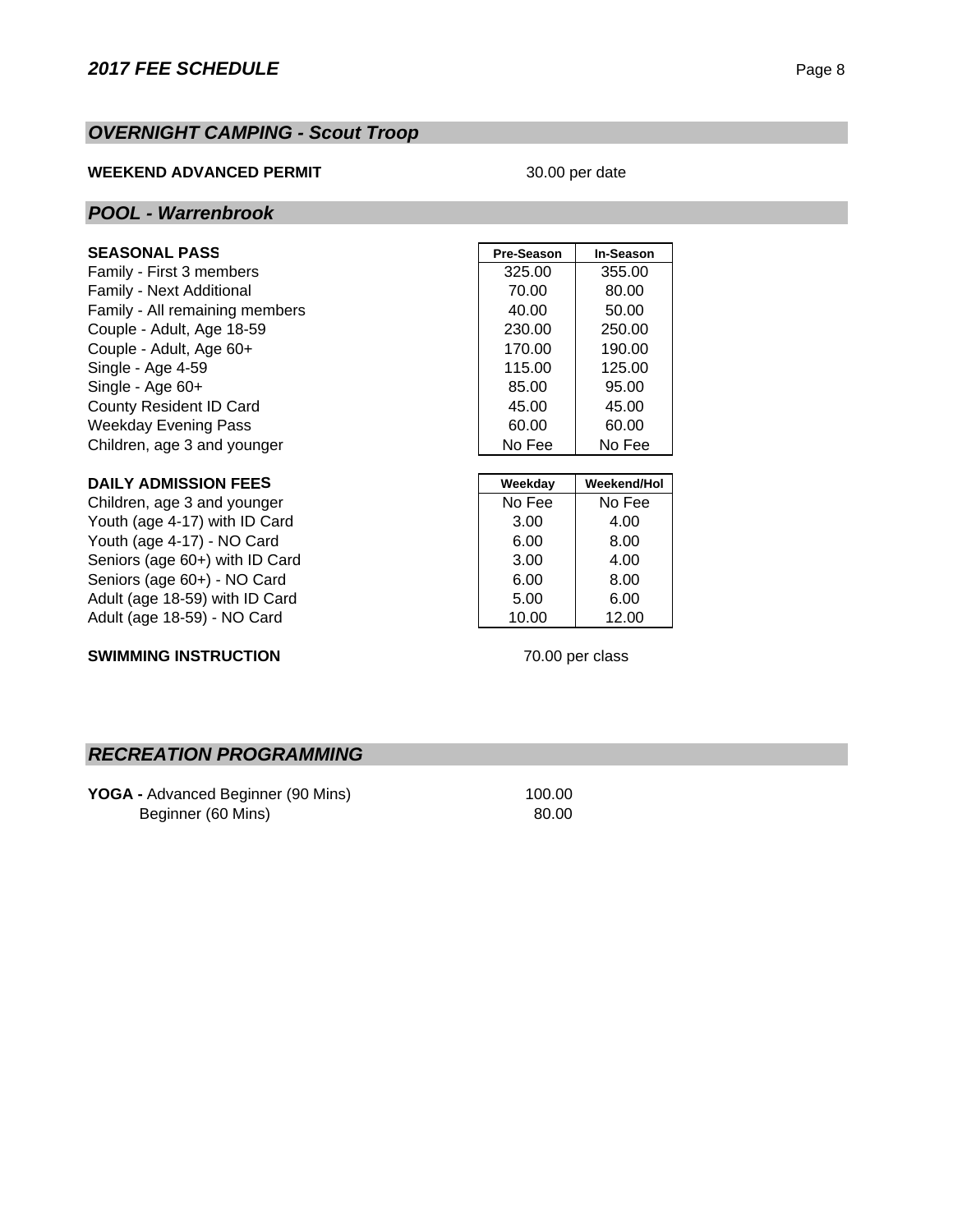# *OVERNIGHT CAMPING - Scout Troop*

## **WEEKEND ADVANCED PERMIT**

#### 30.00 per date

#### *POOL - Warrenbrook*

## **SEASONAL PASS**

Family - First 3 members Family - Next Additional Family - All remaining members Couple - Adult, Age 18-59. Couple - Adult, Age 60+ Single - Age 4-59 Single - Age 60+ County Resident ID Card Weekday Evening Pass Children, age 3 and younger

## **DAILY ADMISSION FEES**

Children, age 3 and younger Youth (age 4-17) with ID Card Youth (age 4-17) - NO Card Seniors (age 60+) with ID Card Seniors (age 60+) - NO Card Adult (age 18-59) with ID Card Adult (age 18-59) - NO Card

## **SWIMMING INSTRUCTION**

| <b>Pre-Season</b> | <b>In-Season</b> |
|-------------------|------------------|
| 325.00            | 355.00           |
| 70.00             | 80.00            |
| 40.00             | 50.00            |
| 230.00            | 250.00           |
| 170.00            | 190.00           |
| 115.00            | 125.00           |
| 85.00             | 95.00            |
| 45.00             | 45.00            |
| 60.00             | 60.00            |
| No Fee            | No Fee           |
|                   |                  |

| Weekday | Weekend/Hol |
|---------|-------------|
| No Fee  | No Fee      |
| 3.00    | 4.00        |
| 6.00    | 8.00        |
| 3.00    | 4.00        |
| 6.00    | 8.00        |
| 5.00    | 6.00        |
| 10.00   | 12.00       |

70.00 per class

## *RECREATION PROGRAMMING*

**YOGA - Advanced Beginner (90 Mins) 100.00** Beginner (60 Mins) 80.00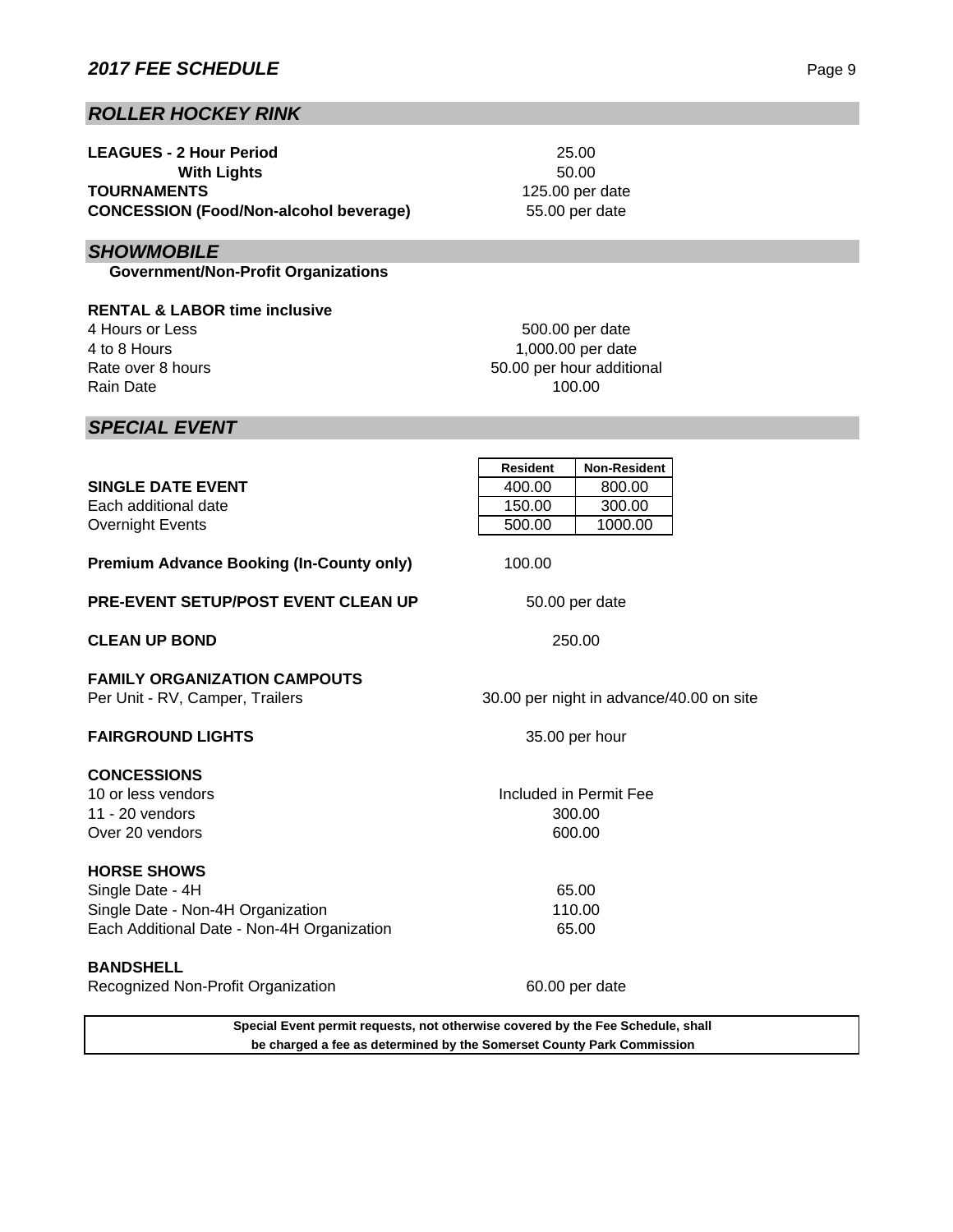# *ROLLER HOCKEY RINK*

| <b>LEAGUES - 2 Hour Period</b>                |
|-----------------------------------------------|
| <b>With Lights</b>                            |
| <b>TOURNAMENTS</b>                            |
| <b>CONCESSION (Food/Non-alcohol beverage)</b> |

# *SHOWMOBILE*

 **Government/Non-Profit Organizations**

**RENTAL & LABOR time inclusive** 4 Hours or Less 4 to 8 Hours Rate over 8 hours Rain Date

1,000.00 per date 500.00 per date 50.00 per hour additional 100.00

# *SPECIAL EVENT*

|                                                                                 | <b>Resident</b>                          | <b>Non-Resident</b>    |  |
|---------------------------------------------------------------------------------|------------------------------------------|------------------------|--|
| <b>SINGLE DATE EVENT</b>                                                        | 400.00                                   | 800.00                 |  |
| Each additional date                                                            | 150.00                                   | 300.00                 |  |
| <b>Overnight Events</b>                                                         | 500.00                                   | 1000.00                |  |
| <b>Premium Advance Booking (In-County only)</b>                                 | 100.00                                   |                        |  |
| <b>PRE-EVENT SETUP/POST EVENT CLEAN UP</b>                                      |                                          | 50.00 per date         |  |
| <b>CLEAN UP BOND</b>                                                            | 250.00                                   |                        |  |
| <b>FAMILY ORGANIZATION CAMPOUTS</b><br>Per Unit - RV, Camper, Trailers          | 30.00 per night in advance/40.00 on site |                        |  |
| <b>FAIRGROUND LIGHTS</b>                                                        | 35.00 per hour                           |                        |  |
| <b>CONCESSIONS</b>                                                              |                                          |                        |  |
| 10 or less vendors                                                              |                                          | Included in Permit Fee |  |
| 11 - $20$ vendors                                                               | 300.00                                   |                        |  |
| Over 20 vendors                                                                 | 600.00                                   |                        |  |
| <b>HORSE SHOWS</b>                                                              |                                          |                        |  |
| Single Date - 4H                                                                | 65.00                                    |                        |  |
| Single Date - Non-4H Organization                                               | 110.00                                   |                        |  |
| Each Additional Date - Non-4H Organization                                      | 65.00                                    |                        |  |
| <b>BANDSHELL</b>                                                                |                                          |                        |  |
| Recognized Non-Profit Organization                                              |                                          | 60.00 per date         |  |
| Special Event permit requests, not otherwise covered by the Fee Schedule, shall |                                          |                        |  |

**be charged a fee as determined by the Somerset County Park Commission**

50.00 125.00 per date 25.00 55.00 per date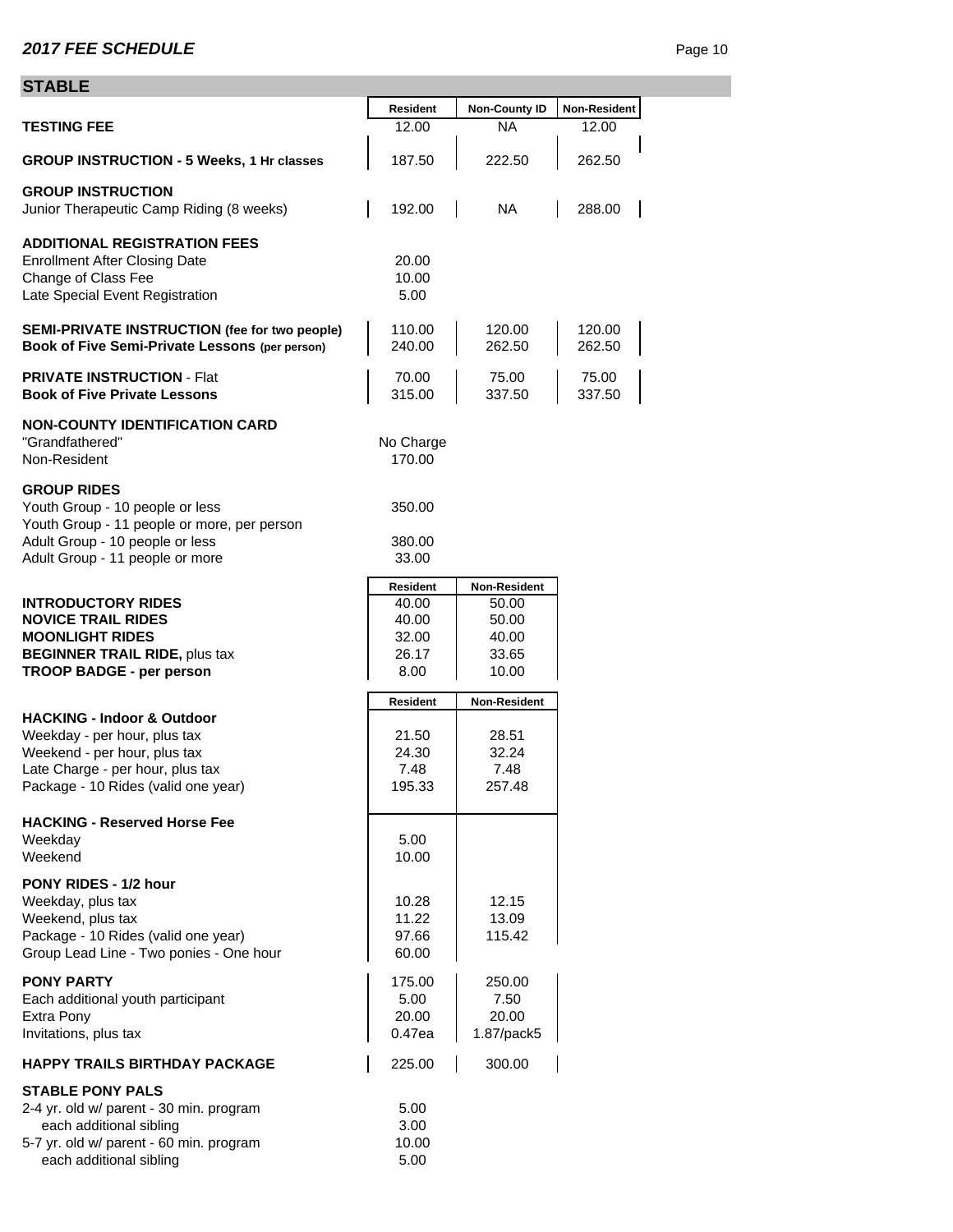## **STABLE**

|                                                                                                                                                                                  | <b>Resident</b>                                      | <b>Non-County ID</b>                                             | Non-Resident     |
|----------------------------------------------------------------------------------------------------------------------------------------------------------------------------------|------------------------------------------------------|------------------------------------------------------------------|------------------|
| <b>TESTING FEE</b>                                                                                                                                                               | 12.00                                                | <b>NA</b>                                                        | 12.00            |
| <b>GROUP INSTRUCTION - 5 Weeks, 1 Hr classes</b>                                                                                                                                 | 187.50                                               | 222.50                                                           | 262.50           |
| <b>GROUP INSTRUCTION</b><br>Junior Therapeutic Camp Riding (8 weeks)                                                                                                             | 192.00                                               | <b>NA</b>                                                        | 288.00           |
| <b>ADDITIONAL REGISTRATION FEES</b><br><b>Enrollment After Closing Date</b><br>Change of Class Fee<br>Late Special Event Registration                                            | 20.00<br>10.00<br>5.00                               |                                                                  |                  |
| SEMI-PRIVATE INSTRUCTION (fee for two people)<br>Book of Five Semi-Private Lessons (per person)                                                                                  | 110.00<br>240.00                                     | 120.00<br>262.50                                                 | 120.00<br>262.50 |
| <b>PRIVATE INSTRUCTION - Flat</b><br><b>Book of Five Private Lessons</b>                                                                                                         | 70.00<br>315.00                                      | 75.00<br>337.50                                                  | 75.00<br>337.50  |
| <b>NON-COUNTY IDENTIFICATION CARD</b><br>"Grandfathered"<br>Non-Resident                                                                                                         | No Charge<br>170.00                                  |                                                                  |                  |
| <b>GROUP RIDES</b><br>Youth Group - 10 people or less<br>Youth Group - 11 people or more, per person                                                                             | 350.00                                               |                                                                  |                  |
| Adult Group - 10 people or less<br>Adult Group - 11 people or more                                                                                                               | 380.00<br>33.00                                      |                                                                  |                  |
| <b>INTRODUCTORY RIDES</b><br><b>NOVICE TRAIL RIDES</b><br><b>MOONLIGHT RIDES</b><br><b>BEGINNER TRAIL RIDE, plus tax</b><br><b>TROOP BADGE - per person</b>                      | Resident<br>40.00<br>40.00<br>32.00<br>26.17<br>8.00 | <b>Non-Resident</b><br>50.00<br>50.00<br>40.00<br>33.65<br>10.00 |                  |
|                                                                                                                                                                                  | <b>Resident</b>                                      | <b>Non-Resident</b>                                              |                  |
| <b>HACKING - Indoor &amp; Outdoor</b><br>Weekday - per hour, plus tax<br>Weekend - per hour, plus tax<br>Late Charge - per hour, plus tax<br>Package - 10 Rides (valid one year) | 21.50<br>24.30<br>7.48<br>195.33                     | 28.51<br>32.24<br>7.48<br>257.48                                 |                  |
| <b>HACKING - Reserved Horse Fee</b><br>Weekday<br>Weekend                                                                                                                        | 5.00<br>10.00                                        |                                                                  |                  |
| PONY RIDES - 1/2 hour<br>Weekday, plus tax<br>Weekend, plus tax<br>Package - 10 Rides (valid one year)<br>Group Lead Line - Two ponies - One hour                                | 10.28<br>11.22<br>97.66<br>60.00                     | 12.15<br>13.09<br>115.42                                         |                  |
| <b>PONY PARTY</b><br>Each additional youth participant<br>Extra Pony<br>Invitations, plus tax                                                                                    | 175.00<br>5.00<br>20.00<br>0.47ea                    | 250.00<br>7.50<br>20.00<br>1.87/pack5                            |                  |
| <b>HAPPY TRAILS BIRTHDAY PACKAGE</b>                                                                                                                                             | 225.00                                               | 300.00                                                           |                  |
| <b>STABLE PONY PALS</b><br>2-4 yr. old w/ parent - 30 min. program<br>each additional sibling<br>5-7 yr. old w/ parent - 60 min. program<br>each additional sibling              | 5.00<br>3.00<br>10.00<br>5.00                        |                                                                  |                  |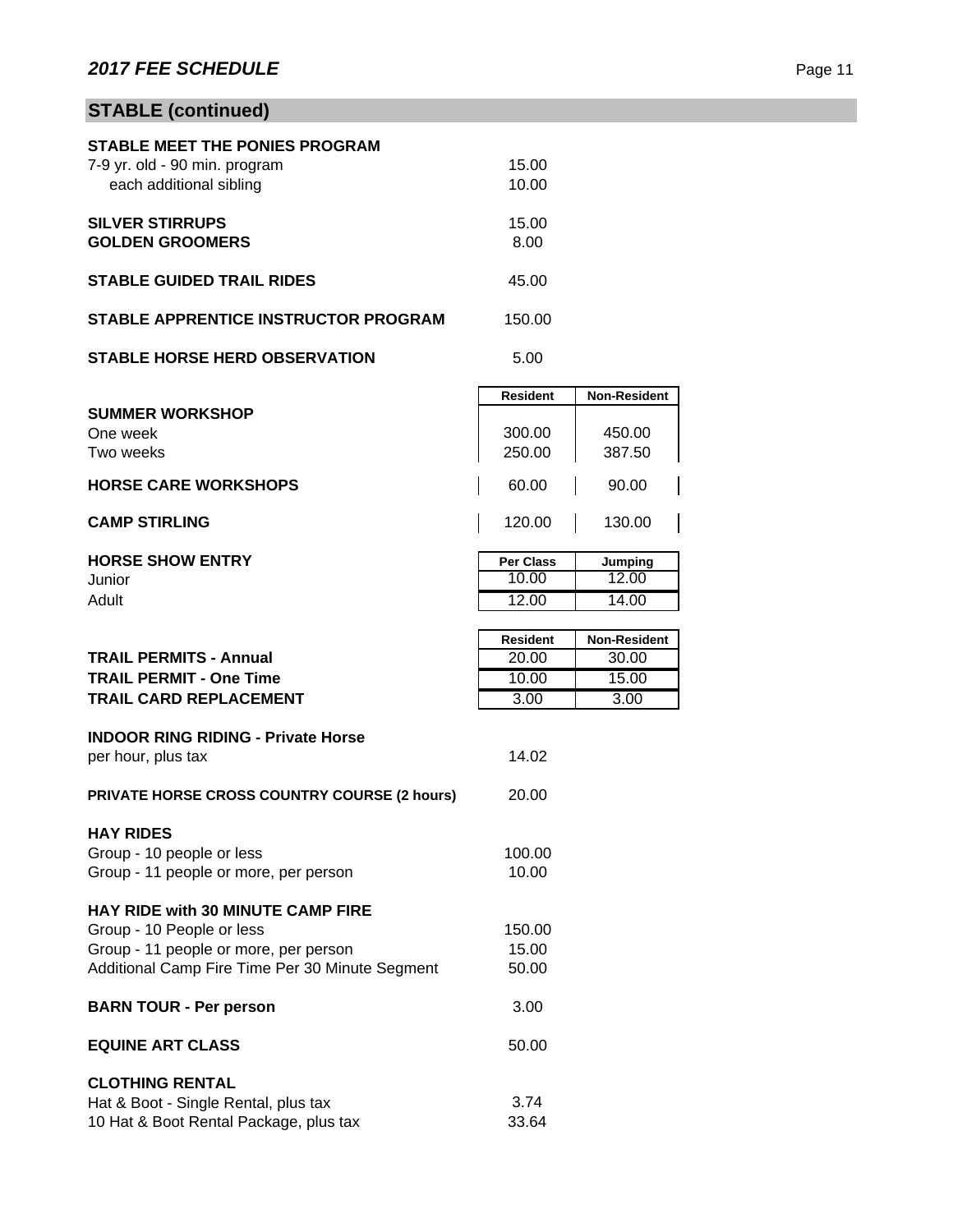# **STABLE (continued)**

| STABLE MEET THE PONIES PROGRAM       |        |  |
|--------------------------------------|--------|--|
| 7-9 yr. old - 90 min. program        | 15.00  |  |
| each additional sibling              | 10.00  |  |
|                                      |        |  |
| <b>SILVER STIRRUPS</b>               | 15.00  |  |
| <b>GOLDEN GROOMERS</b>               | 8.00   |  |
|                                      |        |  |
| <b>STABLE GUIDED TRAIL RIDES</b>     | 45.00  |  |
| STABLE APPRENTICE INSTRUCTOR PROGRAM | 150.00 |  |
|                                      |        |  |
| <b>STABLE HORSE HERD OBSERVATION</b> | 5.00   |  |
|                                      |        |  |

|                             |  | <b>Resident</b> | <b>Non-Resident</b> |
|-----------------------------|--|-----------------|---------------------|
| <b>SUMMER WORKSHOP</b>      |  |                 |                     |
| One week                    |  | 300.00          | 450.00              |
| Two weeks                   |  | 250.00          | 387.50              |
| <b>HORSE CARE WORKSHOPS</b> |  | 60.00           | 90.00               |
| <b>CAMP STIRLING</b>        |  | 120.00          | 130.00              |

| <b>HORSE SHOW ENTRY</b> | <b>Per Class</b> | Jumping |
|-------------------------|------------------|---------|
| Junior                  | 10.00            | 2.00    |
| Adult                   | 12.00            | 14.00   |
|                         |                  |         |

|                                                 | <b>Resident</b> | <b>Non-Resident</b> |
|-------------------------------------------------|-----------------|---------------------|
| <b>TRAIL PERMITS - Annual</b>                   | 20.00           | 30.00               |
| <b>TRAIL PERMIT - One Time</b>                  | 10.00           | 15.00               |
| <b>TRAIL CARD REPLACEMENT</b>                   | 3.00            | 3.00                |
|                                                 |                 |                     |
| <b>INDOOR RING RIDING - Private Horse</b>       | 14.02           |                     |
| per hour, plus tax                              |                 |                     |
| PRIVATE HORSE CROSS COUNTRY COURSE (2 hours)    | 20.00           |                     |
|                                                 |                 |                     |
| <b>HAY RIDES</b>                                |                 |                     |
| Group - 10 people or less                       | 100.00          |                     |
| Group - 11 people or more, per person           | 10.00           |                     |
|                                                 |                 |                     |
| <b>HAY RIDE with 30 MINUTE CAMP FIRE</b>        |                 |                     |
| Group - 10 People or less                       | 150.00          |                     |
| Group - 11 people or more, per person           | 15.00           |                     |
| Additional Camp Fire Time Per 30 Minute Segment | 50.00           |                     |
| <b>BARN TOUR - Per person</b>                   | 3.00            |                     |
|                                                 |                 |                     |
| <b>EQUINE ART CLASS</b>                         | 50.00           |                     |
|                                                 |                 |                     |
| <b>CLOTHING RENTAL</b>                          |                 |                     |
| Hat & Boot - Single Rental, plus tax            | 3.74            |                     |
| 10 Hat & Boot Rental Package, plus tax          | 33.64           |                     |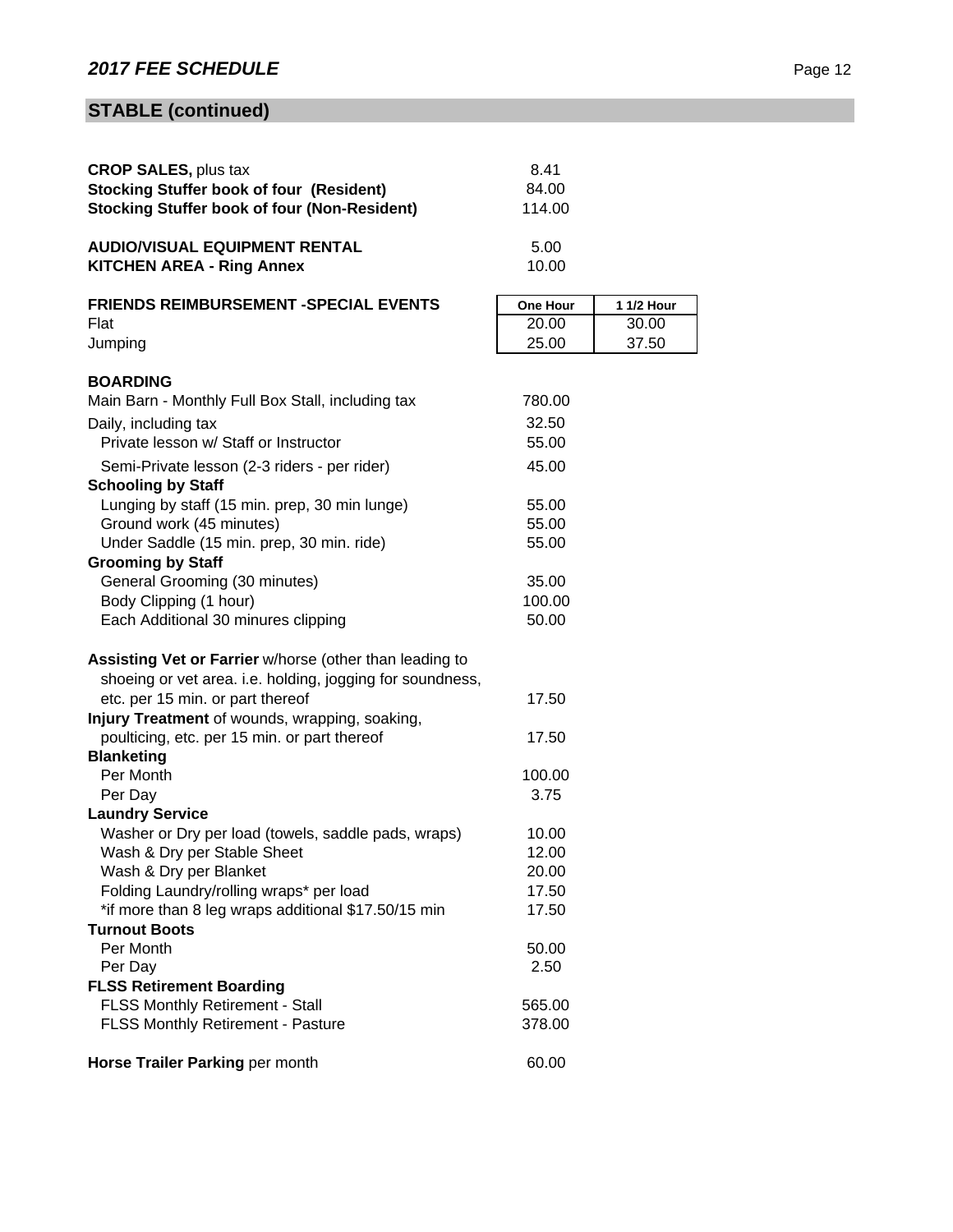# **STABLE (continued)**

| <b>CROP SALES, plus tax</b>                               | 8.41     |            |
|-----------------------------------------------------------|----------|------------|
| <b>Stocking Stuffer book of four (Resident)</b>           | 84.00    |            |
| <b>Stocking Stuffer book of four (Non-Resident)</b>       | 114.00   |            |
| <b>AUDIO/VISUAL EQUIPMENT RENTAL</b>                      | 5.00     |            |
| <b>KITCHEN AREA - Ring Annex</b>                          | 10.00    |            |
| <b>FRIENDS REIMBURSEMENT -SPECIAL EVENTS</b>              | One Hour | 1 1/2 Hour |
| Flat                                                      | 20.00    | 30.00      |
| Jumping                                                   | 25.00    | 37.50      |
| <b>BOARDING</b>                                           |          |            |
| Main Barn - Monthly Full Box Stall, including tax         | 780.00   |            |
| Daily, including tax                                      | 32.50    |            |
| Private lesson w/ Staff or Instructor                     | 55.00    |            |
| Semi-Private lesson (2-3 riders - per rider)              | 45.00    |            |
| <b>Schooling by Staff</b>                                 |          |            |
| Lunging by staff (15 min. prep, 30 min lunge)             | 55.00    |            |
| Ground work (45 minutes)                                  | 55.00    |            |
| Under Saddle (15 min. prep, 30 min. ride)                 | 55.00    |            |
| <b>Grooming by Staff</b>                                  |          |            |
| General Grooming (30 minutes)                             | 35.00    |            |
| Body Clipping (1 hour)                                    | 100.00   |            |
| Each Additional 30 minures clipping                       | 50.00    |            |
| Assisting Vet or Farrier w/horse (other than leading to   |          |            |
| shoeing or vet area. i.e. holding, jogging for soundness, |          |            |
| etc. per 15 min. or part thereof                          | 17.50    |            |
| Injury Treatment of wounds, wrapping, soaking,            |          |            |
| poulticing, etc. per 15 min. or part thereof              | 17.50    |            |
| <b>Blanketing</b>                                         |          |            |
| Per Month                                                 | 100.00   |            |
| Per Day                                                   | 3.75     |            |
| <b>Laundry Service</b>                                    |          |            |
| Washer or Dry per load (towels, saddle pads, wraps)       | 10.00    |            |
| Wash & Dry per Stable Sheet                               | 12.00    |            |
| Wash & Dry per Blanket                                    | 20.00    |            |
| Folding Laundry/rolling wraps* per load                   | 17.50    |            |
| *if more than 8 leg wraps additional \$17.50/15 min       | 17.50    |            |
| <b>Turnout Boots</b>                                      |          |            |
| Per Month                                                 | 50.00    |            |
| Per Day                                                   | 2.50     |            |
| <b>FLSS Retirement Boarding</b>                           |          |            |
| FLSS Monthly Retirement - Stall                           | 565.00   |            |
| FLSS Monthly Retirement - Pasture                         | 378.00   |            |
| Horse Trailer Parking per month                           | 60.00    |            |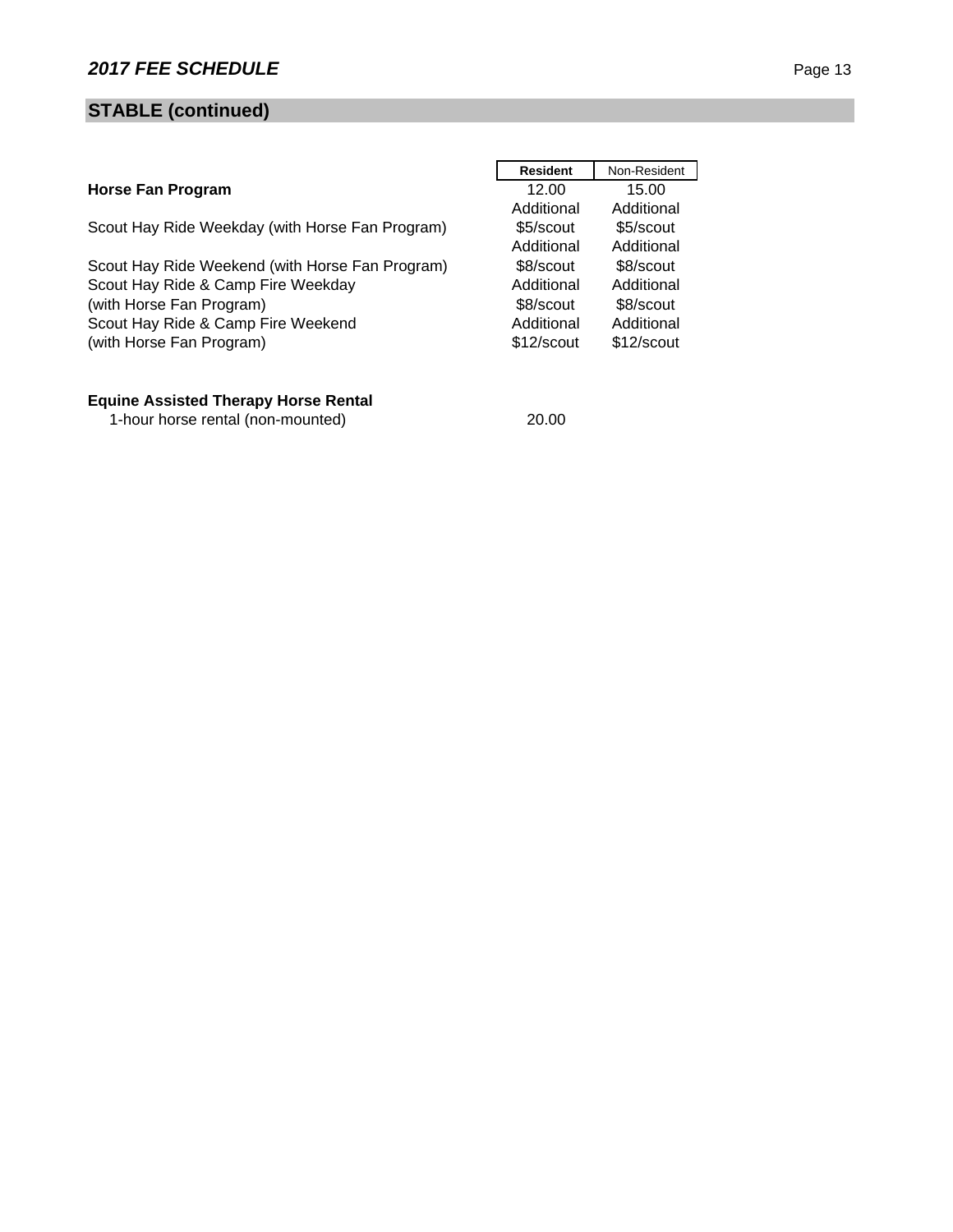# **STABLE (continued)**

|                                                 | <b>Resident</b> | Non-Resident |
|-------------------------------------------------|-----------------|--------------|
| <b>Horse Fan Program</b>                        | 12.00           | 15.00        |
|                                                 | Additional      | Additional   |
| Scout Hay Ride Weekday (with Horse Fan Program) | \$5/scout       | \$5/scout    |
|                                                 | Additional      | Additional   |
| Scout Hay Ride Weekend (with Horse Fan Program) | \$8/scout       | \$8/scout    |
| Scout Hay Ride & Camp Fire Weekday              | Additional      | Additional   |
| (with Horse Fan Program)                        | \$8/scout       | \$8/scout    |
| Scout Hay Ride & Camp Fire Weekend              | Additional      | Additional   |
| (with Horse Fan Program)                        | \$12/scout      | \$12/scout   |
|                                                 |                 |              |

# **Equine Assisted Therapy Horse Rental**

1-hour horse rental (non-mounted) 20.00